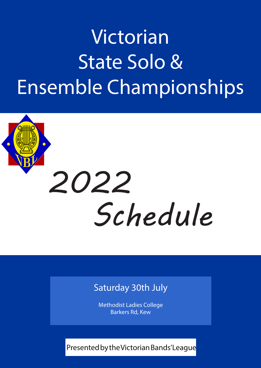## Victorian State Solo & Ensemble Championships

# *Schedule 2022*

## Saturday 30th July

Methodist Ladies College Barkers Rd, Kew

Presented by the Victorian Bands' League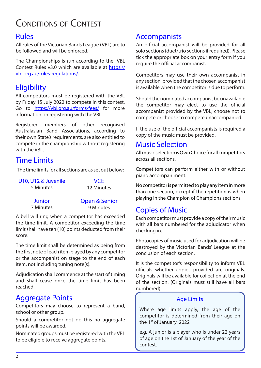## Conditions of Contest

All rules of the Victorian Bands League (VBL) are to be followed and will be enforced.

The Championships is run according to the VBL Contest Rules v3.0 which are available at https:// vbl.org.au/rules-regulations/.

## **Eligibility**

All competitors must be registered with the VBL by Friday 15 July 2022 to compete in this contest. Go to https://vbl.org.au/forms-fees/ for more information on registering with the VBL.

Registered members of other recognised Australasian Band Associations, according to their own State's requirements, are also entitled to compete in the championship without registering with the VBL.

## Time Limits

The time limits for all sections are as set out below:

| U10, U12 & Juvenile | <b>VCE</b> |
|---------------------|------------|
| 5 Minutes           | 12 Minutes |
|                     |            |

**Junior** 7 Minutes Open & Senior

9 Minutes

A bell will ring when a competitor has exceeded the time limit. A competitor exceeding the time limit shall have ten (10) points deducted from their score.

The time limit shall be determined as being from the first note of each item played by any competitor or the accompanist on stage to the end of each item, not including tuning note(s).

Adjudication shall commence at the start of timing and shall cease once the time limit has been reached.

## Aggregate Points

Competitors may choose to represent a band, school or other group.

Should a competitor not do this no aggregate points will be awarded.

Nominated groups must be registered with the VBL to be eligible to receive aggregate points.

## Rules **Accompanists**

An official accompanist will be provided for all solo sections (duet/trio sections if required). Please tick the appropriate box on your entry form if you require the official accompanist.

Competitors may use their own accompanist in any section, provided that the chosen accompanist is available when the competitor is due to perform.

Should the nominated accompanist be unavailable the competitor may elect to use the official accompanist provided by the VBL, choose not to compete or choose to compete unaccompanied.

If the use of the official accompanists is required a copy of the music must be provided.

## Music Selection

All music selection is Own Choice for all competitors across all sections.

Competitors can perform either with or without piano accompaniment.

No competitor is permitted to play any item in more than one section, except if the repetition is when playing in the Champion of Champions sections.

## Copies of Music

Each competitor must provide a copy of their music with all bars numbered for the adjudicator when checking in.

Photocopies of music used for adjudication will be destroyed by the Victorian Bands' League at the conclusion of each section.

It is the competitor's responsibility to inform VBL officials whether copies provided are originals. Originals will be available for collection at the end of the section. (Originals must still have all bars numbered).

#### Age Limits

Where age limits apply, the age of the competitor is determined from their age on the 1<sup>st</sup> of January 2022

e.g. A junior is a player who is under 22 years of age on the 1st of January of the year of the contest.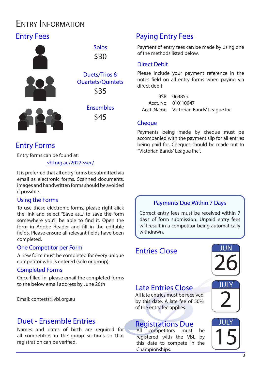## Entry Information

## Entry Fees



## Entry Forms

Entry forms can be found at:

vbl.org.au/2022-ssec/

It is preferred that all entry forms be submitted via email as electronic forms. Scanned documents, images and handwritten forms should be avoided if possible.

#### Using the Forms

To use these electronic forms, please right click the link and select "Save as..." to save the form somewhere you'll be able to find it. Open the form in Adobe Reader and fill in the editable fields. Please ensure all relevant fields have been completed.

#### One Competitor per Form

A new form must be completed for every unique competitor who is entered (solo or group).

#### Completed Forms

Once filled-in, please email the completed forms to the below email address by June 26th

Email: contests@vbl.org.au

### Duet - Ensemble Entries

Names and dates of birth are required for all competitors in the group sections so that registration can be verified.

## Paying Entry Fees

Payment of entry fees can be made by using one of the methods listed below.

#### Direct Debit

Please include your payment reference in the notes field on all entry forms when paying via direct debit.

BSB: 063855 Acct. No: 010110947 Acct. Name: Victorian Bands' League Inc

#### **Cheque**

Payments being made by cheque must be accompanied with the payment slip for all entries being paid for. Cheques should be made out to "Victorian Bands' League Inc".

#### Payments Due Within 7 Days

Correct entry fees must be received within 7 days of form submission. Unpaid entry fees will result in a competitor being automatically withdrawn.

### Entries Close



## Late Entries Close

All late entries must be received by this date. A late fee of 50% of the entry fee applies.

## **Registrations Due**<br>All competitors must

All competitors must be<br>registered with the VBL by<br>this date to compete in the registered with the VBL by this date to compete in the Championships.

JULY 2

## JULY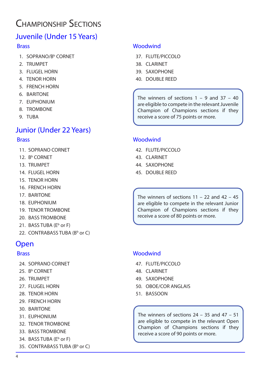## Championship Sections

## Juvenile (Under 15 Years)

#### **Brass**

- 1. SOPRANO/B<sup>b</sup> CORNET
- 2. TRUMPET
- 3. FLUGEL HORN
- 4. TENOR HORN
- 5. FRENCH HORN
- 6. BARITONE
- 7. EUPHONIUM
- 8. TROMBONE
- 9. TUBA

## Junior (Under 22 Years)

#### **Brass**

- 11. SOPRANO CORNET
- 12. B<sup>b</sup> CORNET
- 13. TRUMPET
- 14. FLUGEL HORN
- 15. TENOR HORN
- 16. FRENCH HORN
- 17. BARITONE
- 18. EUPHONIUM
- 19. TENOR TROMBONE
- 20. BASS TROMBONE
- 21. BASS TUBA (E<sup>b</sup> or F)
- 22. CONTRABASS TUBA (B<sup>b</sup> or C)

## Open

#### Brass

- 24. SOPRANO CORNET
- 25. B<sup>b</sup> CORNET
- 26. TRUMPET
- 27. FLUGEL HORN
- 28. TENOR HORN
- 29. FRENCH HORN
- 30. BARITONE
- 31. EUPHONIUM
- 32. TENOR TROMBONE
- 33. BASS TROMBONE
- 34. BASS TUBA (E<sup>b</sup> or F)
- 35. CONTRABASS TUBA (B<sup>b</sup> or C)

#### **Woodwind**

- 37. FLUTE/PICCOLO
- 38. CLARINET
- 39. SAXOPHONE
- 40. DOUBLE REED

The winners of sections  $1 - 9$  and  $37 - 40$ are eligible to compete in the relevant Juvenile Champion of Champions sections if they receive a score of 75 points or more.

#### **Woodwind**

- 42. FLUTE/PICCOLO
- 43. CLARINET
- 44. SAXOPHONE
- 45. DOUBLE REED

The winners of sections  $11 - 22$  and  $42 - 45$ are eligible to compete in the relevant Junior Champion of Champions sections if they receive a score of 80 points or more.

#### **Woodwind**

- 47. FLUTE/PICCOLO
- 48. CLARINET
- 49. SAXOPHONE
- 50. OBOE/COR ANGLAIS
- 51. BASSOON

The winners of sections  $24 - 35$  and  $47 - 51$ are eligible to compete in the relevant Open Champion of Champions sections if they receive a score of 90 points or more.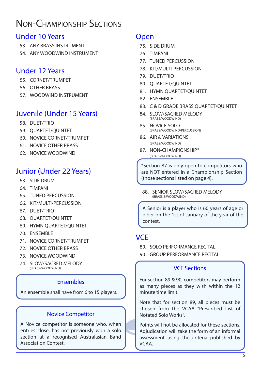## Non-Championship Sections

#### Under 10 Years

- 53. ANY BRASS INSTRUMENT
- 54. ANY WOODWIND INSTRUMENT

#### Under 12 Years

- 55. CORNET/TRUMPET
- 56. OTHER BRASS
- 57. WOODWIND INSTRUMENT

## Juvenile (Under 15 Years)

- 58. DUET/TRIO
- 59. QUARTET/QUINTET
- 60. NOVICE CORNET/TRUMPET
- 61. NOVICE OTHER BRASS
- 62. NOVICE WOODWIND

#### Junior (Under 22 Years)

- 63. SIDE DRUM
- 64. TIMPANI
- 65. TUNED PERCUSSION
- 66. KIT/MULTI-PERCUSSION
- 67. DUET/TRIO
- 68. QUARTET/QUINTET
- 69. HYMN QUARTET/QUINTET
- 70. ENSEMBLE
- 71. NOVICE CORNET/TRUMPET
- 72. NOVICE OTHER BRASS
- 73. NOVICE WOODWIND
- 74. SLOW/SACRED MELODY

#### Ensembles

An ensemble shall have from 6 to 15 players.

#### Novice Competitor

A Novice competitor is someone who, when entries close, has not previously won a solo section at a recognised Australasian Band Association Contest.

#### Open

- 75. SIDE DRUM
- 76. TIMPANI
- 77. TUNED PERCUSSION
- 78. KIT/MULTI-PERCUSSION
- 79. DUET/TRIO
- 80. QUARTET/QUINTET
- 81. HYMN QUARTET/QUINTET
- 82. ENSEMBLE
- 83. C & D GRADE BRASS QUARTET/QUINTET
- 84. SLOW/SACRED MELODY
- 85. NOVICE SOLO<br>
(BRASS/WOODWIND/PERCUSSION)
- 86. AIR & VARIATIONS (BRASS/WOODWIND)
- 87. NON-CHAMPIONSHIP\* (BRASS/WOODWIND)

\*Section 87 is only open to competitors who are NOT entered in a Championship Section (those sections listed on page 4).

88. SENIOR SLOW/SACRED MELODY

A Senior is a player who is 60 years of age or older on the 1st of January of the year of the contest.

## **VCF**

- 89. SOLO PERFORMANCE RECITAL
- 90. GROUP PERFORMANCE RECITAL

#### VCE Sections

For section 89 & 90, competitors may perform as many pieces as they wish within the 12 minute time limit.

Note that for section 89, all pieces must be chosen from the VCAA "Prescribed List of Notated Solo Works".

Points will not be allocated for these sections. Adjudication will take the form of an informal assessment using the criteria published by VCAA.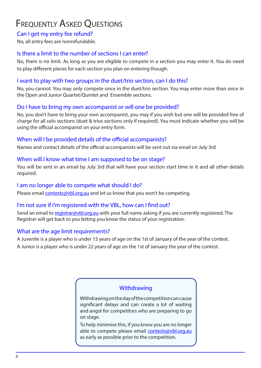## **FREQUENTLY ASKED QUESTIONS**

#### Can I get my entry fee refund?

No, all entry fees are nonrefundable.

#### Is there a limit to the number of sections I can enter?

No, there is no limit. As long as you are eligible to compete in a section you may enter it. You do need to play different pieces for each section you plan on entering though.

#### I want to play with two groups in the duet/trio section, can I do this?

No, you cannot. You may only compete once in the duet/trio section. You may enter more than once in the Open and Junior Quartet/Quintet and Ensemble sections.

#### Do I have to bring my own accompanist or will one be provided?

No, you don't have to bring your own accompanist, you may if you wish but one will be provided free of charge for all solo sections (duet & trios sections only if required). You must indicate whether you will be using the official accompanist on your entry form.

#### When will I be provided details of the official accompanists?

Names and contact details of the official accompanists will be sent out via email on July 3rd

#### When will I know what time I am supposed to be on stage?

You will be sent in an email by July 3rd that will have your section start time in it and all other details required.

#### I am no longer able to compete what should I do?

Please email **contests@vbl.org.au** and let us know that you won't be competing.

#### I'm not sure if I'm registered with the VBL, how can I find out?

Send an email to registrar@vbl.org.au with your full name asking if you are currently registered. The Registrar will get back to you letting you know the status of your registration.

#### What are the age limit requirements?

A Juvenile is a player who is under 15 years of age on the 1st of January of the year of the contest. A Junior is a player who is under 22 years of age on the 1st of January the year of the contest.

#### **Withdrawing**

Withdrawing on the day of the competition can cause significant delays and can create a lot of waiting and angst for competitors who are preparing to go on stage.

To help minimise this, if you know you are no longer able to compete please email contests@vbl.org.au as early as possible prior to the competition.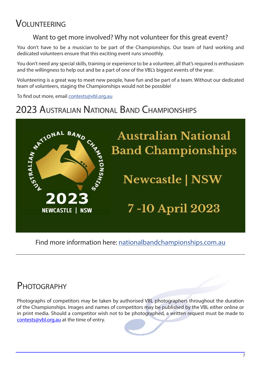## VOLUNTEERING

#### Want to get more involved? Why not volunteer for this great event?

You don't have to be a musician to be part of the Championships. Our team of hard working and dedicated volunteers ensure that this exciting event runs smoothly.

You don't need any special skills, training or experience to be a volunteer, all that's required is enthusiasm and the willingness to help out and be a part of one of the VBL's biggest events of the year.

Volunteering is a great way to meet new people, have fun and be part of a team. Without our dedicated team of volunteers, staging the Championships would not be possible!

To find out more, email contests@vbl.org.au

## 2023 Australian National Band Championships



Find more information here: nationalbandchampionships.com.au

## PHOTOGRAPHY

Photographs of competitors may be taken by authorised VBL photographers throughout the duration of the Championships. Images and names of competitors may be published by the VBL either online or in print media. Should a competitor wish not to be photographed, a written request must be made to contests@vbl.org.au at the time of entry.